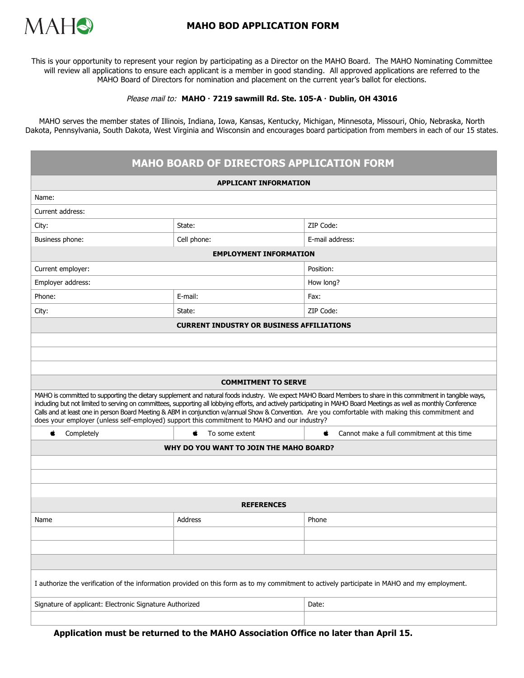

## **MAHO BOD APPLICATION FORM**

This is your opportunity to represent your region by participating as a Director on the MAHO Board. The MAHO Nominating Committee will review all applications to ensure each applicant is a member in good standing. All approved applications are referred to the MAHO Board of Directors for nomination and placement on the current year's ballot for elections.

## Please mail to: **MAHO 7219 sawmill Rd. Ste. 105-A Dublin, OH 43016**

MAHO serves the member states of Illinois, Indiana, Iowa, Kansas, Kentucky, Michigan, Minnesota, Missouri, Ohio, Nebraska, North Dakota, Pennsylvania, South Dakota, West Virginia and Wisconsin and encourages board participation from members in each of our 15 states.

| <b>MAHO BOARD OF DIRECTORS APPLICATION FORM</b>                                                                                                                                                                                                                                                                                                                                                                                                                                                                                                                                             |                      |                                                  |
|---------------------------------------------------------------------------------------------------------------------------------------------------------------------------------------------------------------------------------------------------------------------------------------------------------------------------------------------------------------------------------------------------------------------------------------------------------------------------------------------------------------------------------------------------------------------------------------------|----------------------|--------------------------------------------------|
| <b>APPLICANT INFORMATION</b>                                                                                                                                                                                                                                                                                                                                                                                                                                                                                                                                                                |                      |                                                  |
| Name:                                                                                                                                                                                                                                                                                                                                                                                                                                                                                                                                                                                       |                      |                                                  |
| Current address:                                                                                                                                                                                                                                                                                                                                                                                                                                                                                                                                                                            |                      |                                                  |
| City:                                                                                                                                                                                                                                                                                                                                                                                                                                                                                                                                                                                       | State:               | ZIP Code:                                        |
| Business phone:                                                                                                                                                                                                                                                                                                                                                                                                                                                                                                                                                                             | Cell phone:          | E-mail address:                                  |
| <b>EMPLOYMENT INFORMATION</b>                                                                                                                                                                                                                                                                                                                                                                                                                                                                                                                                                               |                      |                                                  |
| Current employer:                                                                                                                                                                                                                                                                                                                                                                                                                                                                                                                                                                           |                      | Position:                                        |
| Employer address:                                                                                                                                                                                                                                                                                                                                                                                                                                                                                                                                                                           |                      | How long?                                        |
| Phone:                                                                                                                                                                                                                                                                                                                                                                                                                                                                                                                                                                                      | E-mail:              | Fax:                                             |
| City:                                                                                                                                                                                                                                                                                                                                                                                                                                                                                                                                                                                       | State:               | ZIP Code:                                        |
| <b>CURRENT INDUSTRY OR BUSINESS AFFILIATIONS</b>                                                                                                                                                                                                                                                                                                                                                                                                                                                                                                                                            |                      |                                                  |
|                                                                                                                                                                                                                                                                                                                                                                                                                                                                                                                                                                                             |                      |                                                  |
|                                                                                                                                                                                                                                                                                                                                                                                                                                                                                                                                                                                             |                      |                                                  |
|                                                                                                                                                                                                                                                                                                                                                                                                                                                                                                                                                                                             |                      |                                                  |
| <b>COMMITMENT TO SERVE</b>                                                                                                                                                                                                                                                                                                                                                                                                                                                                                                                                                                  |                      |                                                  |
| MAHO is committed to supporting the dietary supplement and natural foods industry. We expect MAHO Board Members to share in this commitment in tangible ways,<br>including but not limited to serving on committees, supporting all lobbying efforts, and actively participating in MAHO Board Meetings as well as monthly Conference<br>Calls and at least one in person Board Meeting & ABM in conjunction w/annual Show & Convention. Are you comfortable with making this commitment and<br>does your employer (unless self-employed) support this commitment to MAHO and our industry? |                      |                                                  |
| Completely<br>Ć                                                                                                                                                                                                                                                                                                                                                                                                                                                                                                                                                                             | To some extent<br>É. | Cannot make a full commitment at this time<br>É. |
| WHY DO YOU WANT TO JOIN THE MAHO BOARD?                                                                                                                                                                                                                                                                                                                                                                                                                                                                                                                                                     |                      |                                                  |
|                                                                                                                                                                                                                                                                                                                                                                                                                                                                                                                                                                                             |                      |                                                  |
|                                                                                                                                                                                                                                                                                                                                                                                                                                                                                                                                                                                             |                      |                                                  |
|                                                                                                                                                                                                                                                                                                                                                                                                                                                                                                                                                                                             |                      |                                                  |
| <b>REFERENCES</b>                                                                                                                                                                                                                                                                                                                                                                                                                                                                                                                                                                           |                      |                                                  |
| Name                                                                                                                                                                                                                                                                                                                                                                                                                                                                                                                                                                                        | Address              | Phone                                            |
|                                                                                                                                                                                                                                                                                                                                                                                                                                                                                                                                                                                             |                      |                                                  |
|                                                                                                                                                                                                                                                                                                                                                                                                                                                                                                                                                                                             |                      |                                                  |
|                                                                                                                                                                                                                                                                                                                                                                                                                                                                                                                                                                                             |                      |                                                  |
| I authorize the verification of the information provided on this form as to my commitment to actively participate in MAHO and my employment.                                                                                                                                                                                                                                                                                                                                                                                                                                                |                      |                                                  |
| Signature of applicant: Electronic Signature Authorized                                                                                                                                                                                                                                                                                                                                                                                                                                                                                                                                     |                      | Date:                                            |
|                                                                                                                                                                                                                                                                                                                                                                                                                                                                                                                                                                                             |                      |                                                  |

**Application must be returned to the MAHO Association Office no later than April 15.**